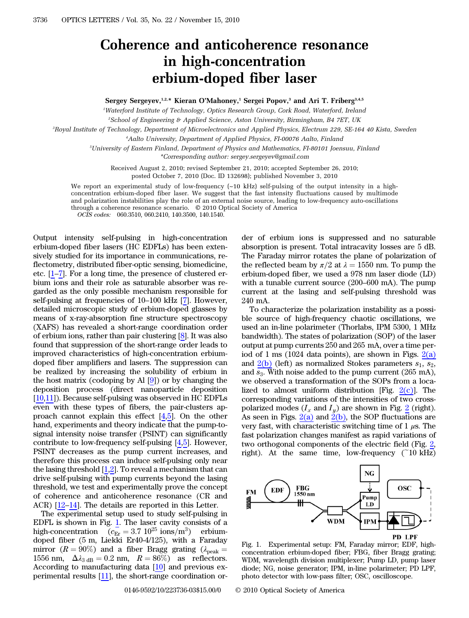## Coherence and anticoherence resonance in high-concentration erbium-doped fiber laser

Sergey Sergeyev,<sup>1,2,\*</sup> Kieran O'Mahoney,<sup>1</sup> Sergei Popov,<sup>3</sup> and Ari T. Friberg<sup>3,4,5</sup>

1 Waterford Institute of Technology, Optics Research Group, Cork Road, Waterford, Ireland

2 School of Engineering & Applied Science, Aston University, Birmingham, B4 7ET, UK

3 Royal Institute of Technology, Department of Microelectronics and Applied Physics, Electrum 229, SE-164 40 Kista, Sweden

4 Aalto University, Department of Applied Physics, FI-00076 Aalto, Finland

5 University of Eastern Finland, Department of Physics and Mathematics, FI-80101 Joensuu, Finland \*Corresponding author: sergey.sergeyev@gmail.com

Received August 2, 2010; revised September 21, 2010; accepted September 26, 2010; posted October 7, 2010 (Doc. ID 132698); published November 3, 2010

We report an experimental study of low-frequency (~10 kHz) self-pulsing of the output intensity in a highconcentration erbium-doped fiber laser. We suggest that the fast intensity fluctuations caused by multimode and polarization instabilities play the role of an external noise source, leading to low-frequency auto-oscillations through a coherence resonance scenario. © 2010 Optical Society of America OCIS codes: 060.3510, 060.2410, 140.3500, 140.1540.

Output intensity self-pulsing in high-concentration erbium-doped fiber lasers (HC EDFLs) has been extensively studied for its importance in communications, reflectometry, distributed fiber-optic sensing, biomedicine, etc. [1–7]. For a long time, the presence of clustered erbium ions and their role as saturable absorber was regarded as the only possible mechanism responsible for self-pulsing at frequencies of <sup>10</sup>–<sup>100</sup> kHz [7]. However, detailed microscopic study of erbium-doped glasses by means of x-ray-absorption fine structure spectroscopy (XAFS) has revealed a short-range coordination order of erbium ions, rather than pair clustering [8]. It was also found that suppression of the short-range order leads to improved characteristics of high-concentration erbiumdoped fiber amplifiers and lasers. The suppression can be realized by increasing the solubility of erbium in the host matrix (codoping by Al [9]) or by changing the deposition process (direct nanoparticle deposition [10,11]). Because self-pulsing was observed in HC EDFLs even with these types of fibers, the pair-clusters approach cannot explain this effect [4,5]. On the other hand, experiments and theory indicate that the pump-tosignal intensity noise transfer (PSINT) can significantly contribute to low-frequency self-pulsing [4,5]. However, PSINT decreases as the pump current increases, and therefore this process can induce self-pulsing only near the lasing threshold  $[1,2]$ . To reveal a mechanism that can drive self-pulsing with pump currents beyond the lasing threshold, we test and experimentally prove the concept of coherence and anticoherence resonance (CR and ACR) [12–14]. The details are reported in this Letter.

The experimental setup used to study self-pulsing in EDFL is shown in Fig. [1](#page-0-0). The laser cavity consists of a high-concentration  $(c_{Er} = 3.7 \, 10^{25} \, \text{ions/m}^3)$  erbiumdoped fiber (5 m, Liekki Er40-4/125), with a Faraday mirror ( $R = 90\%$ ) and a fiber Bragg grating ( $\lambda_{\text{peak}} =$ 1556 nm,  $\Delta \lambda_{3 \text{ dB}} = 0.2 \text{ nm}$ ,  $R = 86\%$  as reflectors. According to manufacturing data [10] and previous experimental results [11], the short-range coordination or-

der of erbium ions is suppressed and no saturable absorption is present. Total intracavity losses are 5 dB. The Faraday mirror rotates the plane of polarization of the reflected beam by  $\pi/2$  at  $\lambda = 1550$  nm. To pump the erbium-doped fiber, we used a 978 nm laser diode (LD) with a tunable current source (200–600 mA). The pump current at the lasing and self-pulsing threshold was 240 mA.

To characterize the polarization instability as a possible source of high-frequency chaotic oscillations, we used an in-line polarimeter (Thorlabs, IPM 5300, 1 MHz bandwidth). The states of polarization (SOP) of the laser output at pump currents 250 and 265 mA, over a time period of 1 ms (1024 data points), are shown in Figs. [2\(a\)](#page-1-0) and  $2(b)$  (left) as normalized Stokes parameters  $s_1$ ,  $s_2$ , and  $s_3$ . With noise added to the pump current (265 mA), we observed a transformation of the SOPs from a localized to almost uniform distribution [Fig.  $2(c)$ ]. The corresponding variations of the intensities of two crosspolarized modes  $(I_x \text{ and } I_y)$  are shown in Fig. [2](#page-1-1) (right). As seen in Figs.  $2(a)$  and  $2(b)$ , the SOP fluctuations are very fast, with characteristic switching time of  $1 \mu s$ . The fast polarization changes manifest as rapid variations of two orthogonal components of the electric field (Fig. [2,](#page-1-1) right). At the same time, low-frequency  $(10 \text{ kHz})$ 

<span id="page-0-0"></span>

Fig. 1. Experimental setup: FM, Faraday mirror; EDF, highconcentration erbium-doped fiber; FBG, fiber Bragg grating; WDM, wavelength division multiplexer; Pump LD, pump laser diode; NG, noise generator; IPM, in-line polarimeter; PD LPF, photo detector with low-pass filter; OSC, oscilloscope.

0146-9592/10/223736-03\$15.00/0 © 2010 Optical Society of America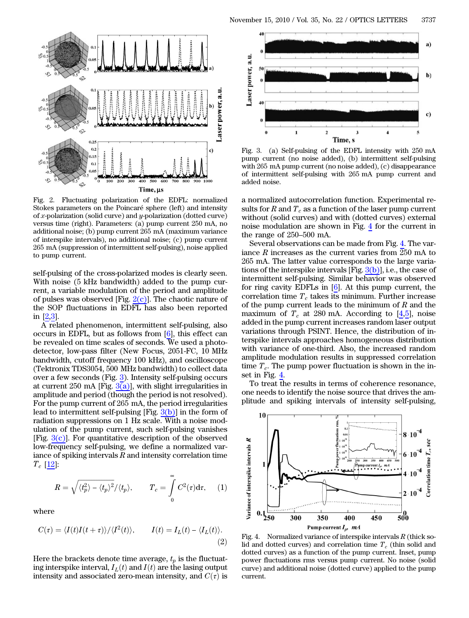<span id="page-1-1"></span>

<span id="page-1-0"></span>Fig. 2. Fluctuating polarization of the EDFL: normalized Stokes parameters on the Poincaré sphere (left) and intensity of x-polarization (solid curve) and y-polarization (dotted curve) versus time (right). Parameters: (a) pump current 250 mA, no additional noise; (b) pump current 265 mA (maximum variance of interspike intervals), no additional noise; (c) pump current 265 mA (suppression of intermittent self-pulsing), noise applied to pump current.

self-pulsing of the cross-polarized modes is clearly seen. With noise (5 kHz bandwidth) added to the pump current, a variable modulation of the period and amplitude of pulses was observed [Fig.  $2(c)$ ]. The chaotic nature of the SOP fluctuations in EDFL has also been reported in [2,3].

A related phenomenon, intermittent self-pulsing, also occurs in EDFL, but as follows from [6], this effect can be revealed on time scales of seconds. We used a photodetector, low-pass filter (New Focus, 2051-FC, 10 MHz bandwidth, cutoff frequency 100 kHz), and oscilloscope (Tektronix TDS3054, 500 MHz bandwidth) to collect data over a few seconds (Fig. [3\)](#page-1-2). Intensity self-pulsing occurs at current 250 mA [Fig.  $3(a)$ ], with slight irregularities in amplitude and period (though the period is not resolved). For the pump current of 265 mA, the period irregularities lead to intermittent self-pulsing [Fig. [3\(b\)\]](#page-1-3) in the form of radiation suppressions on 1 Hz scale. With a noise modulation of the pump current, such self-pulsing vanishes [Fig.  $3(c)$ ]. For quantitative description of the observed low-frequency self-pulsing, we define a normalized variance of spiking intervals  $R$  and intensity correlation time  $T_c$  [12]:

$$
R=\sqrt{\langle t_p^2\rangle-\langle t_p\rangle^2}/\langle t_p\rangle, \qquad T_c=\int\limits_0^\infty C^2(\tau)\mathrm{d}\tau, \quad \ \ (1)
$$

where

$$
C(\tau) = \langle I(t)I(t+\tau)\rangle/\langle I^2(t)\rangle, \qquad I(t) = I_L(t) - \langle I_L(t)\rangle.
$$
\n(2)

Here the brackets denote time average,  $t_p$  is the fluctuating interspike interval,  $I_L(t)$  and  $I(t)$  are the lasing output intensity and associated zero-mean intensity, and  $C(\tau)$  is

<span id="page-1-2"></span>

<span id="page-1-3"></span>Fig. 3. (a) Self-pulsing of the EDFL intensity with 250 mA pump current (no noise added), (b) intermittent self-pulsing with 265 mA pump current (no noise added), (c) disappearance of intermittent self-pulsing with 265 mA pump current and added noise.

a normalized autocorrelation function. Experimental results for R and  $T_c$  as a function of the laser pump current without (solid curves) and with (dotted curves) external noise modulation are shown in Fig. [4](#page-1-4) for the current in the range of 250–500 mA.

Several observations can be made from Fig. [4.](#page-1-4) The variance R increases as the current varies from 250 mA to 265 mA. The latter value corresponds to the large variations of the interspike intervals  $[Fig. 3(b)]$  $[Fig. 3(b)]$ , i.e., the case of intermittent self-pulsing. Similar behavior was observed for ring cavity EDFLs in [6]. At this pump current, the correlation time  $T_c$  takes its minimum. Further increase of the pump current leads to the minimum of  $R$  and the maximum of  $T_c$  at 280 mA. According to [4,5], noise added in the pump current increases random laser output variations through PSINT. Hence, the distribution of interspike intervals approaches homogeneous distribution with variance of one-third. Also, the increased random amplitude modulation results in suppressed correlation time  $T_c$ . The pump power fluctuation is shown in the inset in Fig. [4.](#page-1-4)

To treat the results in terms of coherence resonance, one needs to identify the noise source that drives the amplitude and spiking intervals of intensity self-pulsing,

<span id="page-1-4"></span>

Fig. 4. Normalized variance of interspike intervals  $R$  (thick solid and dotted curves) and correlation time  $T_c$  (thin solid and dotted curves) as a function of the pump current. Inset, pump power fluctuations rms versus pump current. No noise (solid curve) and additional noise (dotted curve) applied to the pump current.